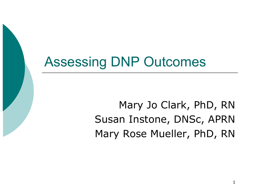# Assessing DNP Outcomes

Mary Jo Clark, PhD, RN Susan Instone, DNSc, APRN Mary Rose Mueller, PhD, RN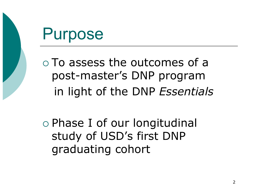# Purpose

 To assess the outcomes of a post-master's DNP program in light of the DNP *Essentials* 

 Phase I of our longitudinal study of USD's first DNP graduating cohort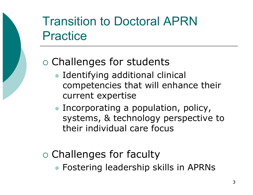## Transition to Doctoral APRN Practice

#### Challenges for students

- Identifying additional clinical competencies that will enhance their current expertise
- Incorporating a population, policy, systems, & technology perspective to their individual care focus

#### $\circ$  Challenges for faculty

Fostering leadership skills in APRNs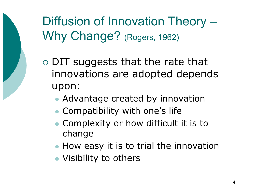Diffusion of Innovation Theory – Why Change? (Rogers, 1962)

 DIT suggests that the rate that innovations are adopted depends upon:

- Advantage created by innovation
- Compatibility with one's life
- Complexity or how difficult it is to change
- How easy it is to trial the innovation
- Visibility to others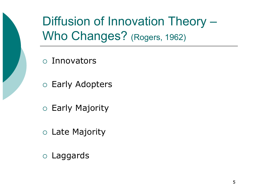Diffusion of Innovation Theory – Who Changes? (Rogers, 1962)

Innovators

- Early Adopters
- Early Majority
- Late Majority
- Laggards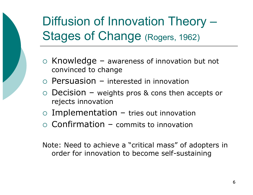# Diffusion of Innovation Theory – Stages of Change (Rogers, 1962)

- $\circ$  Knowledge awareness of innovation but not convinced to change
- $\circ$  Persuasion interested in innovation
- $\circ$  Decision weights pros & cons then accepts or rejects innovation
- $\circ$  Implementation tries out innovation
- $\circ$  Confirmation commits to innovation

Note: Need to achieve a "critical mass" of adopters in order for innovation to become self-sustaining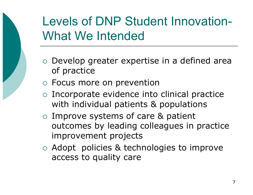## Levels of DNP Student Innovation-What We Intended

- Develop greater expertise in a defined area of practice
- Focus more on prevention
- Incorporate evidence into clinical practice with individual patients & populations
- Improve systems of care & patient outcomes by leading colleagues in practice improvement projects
- Adopt policies & technologies to improve access to quality care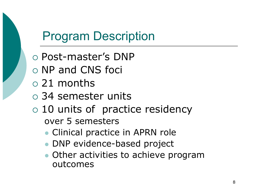## Program Description

- Post-master's DNP
- NP and CNS foci
- 21 months
- 34 semester units
- 10 units of practice residency over 5 semesters
	- Clinical practice in APRN role
	- DNP evidence-based project
	- Other activities to achieve program outcomes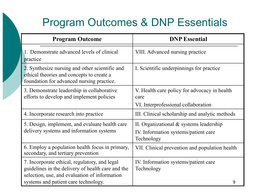#### Program Outcomes & DNP Essentials

| <b>Program Outcome</b>                                                                                                                              | <b>DNP</b> Essential                                                                            |
|-----------------------------------------------------------------------------------------------------------------------------------------------------|-------------------------------------------------------------------------------------------------|
| 1. Demonstrate advanced levels of clinical<br>practice                                                                                              | VIII. Advanced nursing practice                                                                 |
| 2. Synthesize nursing and other scientific and<br>ethical theories and concepts to create a<br>foundation for advanced nursing practice.            | I. Scientific underpinnings for practice                                                        |
| 3. Demonstrate leadership in collaborative<br>efforts to develop and implement policies                                                             | V. Health care policy for advocacy in health<br>care<br>VI. Interprofessional collaboration     |
| 4. Incorporate research into practice                                                                                                               | III. Clinical scholarship and analytic methods                                                  |
| 5. Design, implement, and evaluate health care<br>delivery systems and information systems                                                          | II. Organizational $&$ systems leadership<br>IV. Information systems/patient care<br>Technology |
| 6. Employ a population health focus in primary,<br>secondary, and tertiary prevention                                                               | VII. Clinical prevention and population health                                                  |
| 7. Incorporate ethical, regulatory, and legal<br>guidelines in the delivery of health care and the<br>selection, use, and evaluation of information | IV. Information systems/patient care<br>Technology                                              |
| systems and patient care technology.                                                                                                                | 9                                                                                               |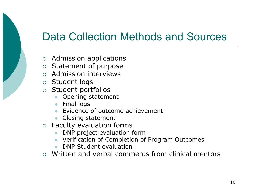#### Data Collection Methods and Sources

- Admission applications
- o Statement of purpose
- Admission interviews
- Student logs
- $\circ$  Student portfolios
	- Opening statement
	- **•** Final logs
	- Evidence of outcome achievement
	- Closing statement
- Faculty evaluation forms
	- DNP project evaluation form
	- Verification of Completion of Program Outcomes
	- DNP Student evaluation
- Written and verbal comments from clinical mentors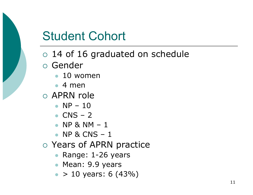- 14 of 16 graduated on schedule
- Gender
	- 10 women
	- $4$  men
- APRN role
	- $N_{\rm P}$  10
	- $\bullet$  CNS 2
	- $\bullet$  NP & NM  $-1$
	- $\bullet$  NP & CNS  $-1$
- Years of APRN practice
	- Range: 1-26 years
	- Mean: 9.9 years
	- $\bullet$  > 10 years: 6 (43%)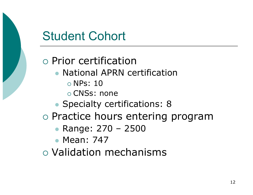#### Prior certification

- National APRN certification
	- NPs: 10
	- CNSs: none
- Specialty certifications: 8
- o Practice hours entering program
	- **Range: 270 2500**
	- Mean: 747
- Validation mechanisms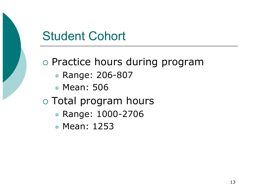o Practice hours during program

- Range: 206-807
- Mean: 506

#### Total program hours

- **Range: 1000-2706**
- Mean: 1253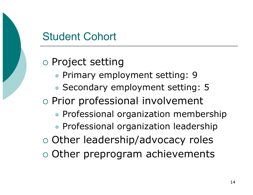o Project setting

- Primary employment setting: 9
- Secondary employment setting: 5
- o Prior professional involvement
	- **Professional organization membership**
	- **Professional organization leadership**
- o Other leadership/advocacy roles
- Other preprogram achievements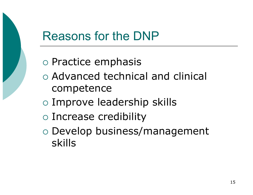### Reasons for the DNP

- $\circ$  Practice emphasis
- Advanced technical and clinical competence
- Improve leadership skills
- Increase credibility
- Develop business/management skills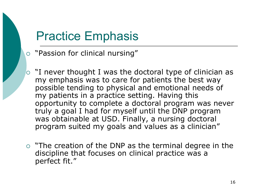#### Practice Emphasis

- "Passion for clinical nursing"
- $\circ$  "I never thought I was the doctoral type of clinician as my emphasis was to care for patients the best way possible tending to physical and emotional needs of my patients in a practice setting. Having this opportunity to complete a doctoral program was never truly a goal I had for myself until the DNP program was obtainable at USD. Finally, a nursing doctoral program suited my goals and values as a clinician"
- $\circ$  "The creation of the DNP as the terminal degree in the discipline that focuses on clinical practice was a perfect fit."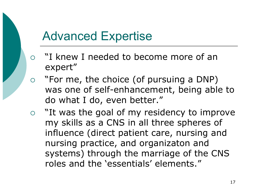### Advanced Expertise

- "I knew I needed to become more of an expert"
- $\circ$  "For me, the choice (of pursuing a DNP) was one of self-enhancement, being able to do what I do, even better."
- o "It was the goal of my residency to improve my skills as a CNS in all three spheres of influence (direct patient care, nursing and nursing practice, and organizaton and systems) through the marriage of the CNS roles and the 'essentials' elements."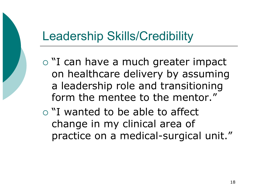## Leadership Skills/Credibility

- o "I can have a much greater impact on healthcare delivery by assuming a leadership role and transitioning form the mentee to the mentor."
- "I wanted to be able to affect change in my clinical area of practice on a medical-surgical unit."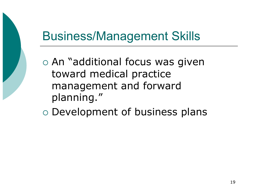## Business/Management Skills

 An "additional focus was given toward medical practice management and forward planning."

Development of business plans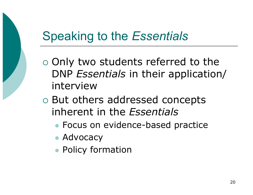## Speaking to the *Essentials*

- Only two students referred to the DNP *Essentials* in their application/ interview
- But others addressed concepts inherent in the *Essentials* 
	- Focus on evidence-based practice
	- Advocacy
	- **Policy formation**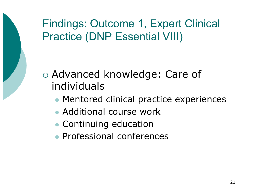Findings: Outcome 1, Expert Clinical Practice (DNP Essential VIII)

 Advanced knowledge: Care of individuals

- Mentored clinical practice experiences
- Additional course work
- Continuing education
- Professional conferences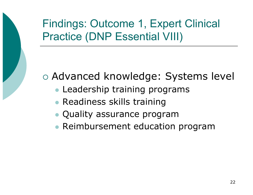Findings: Outcome 1, Expert Clinical Practice (DNP Essential VIII)

Advanced knowledge: Systems level

- Leadership training programs
- **Readiness skills training**
- Quality assurance program
- Reimbursement education program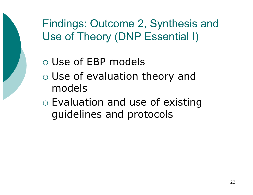Findings: Outcome 2, Synthesis and Use of Theory (DNP Essential I)

- Use of EBP models
- Use of evaluation theory and models
- Evaluation and use of existing guidelines and protocols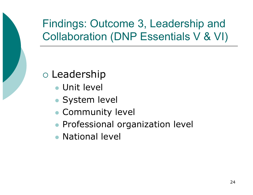#### Leadership

- Unit level
- System level
- Community level
- **Professional organization level**
- National level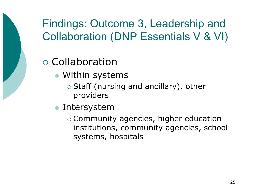#### Collaboration

- Within systems
	- $\circ$  Staff (nursing and ancillary), other providers
- Intersystem
	- Community agencies, higher education institutions, community agencies, school systems, hospitals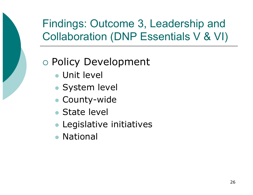#### Policy Development

- Unit level
- System level
- County-wide
- State level
- **Legislative initiatives**
- National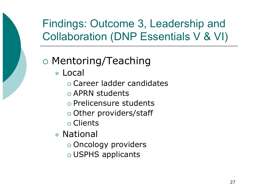#### Mentoring/Teaching

- Local
	- Career ladder candidates
	- APRN students
	- o Prelicensure students
	- Other providers/staff
	- Clients
- National
	- Oncology providers
	- USPHS applicants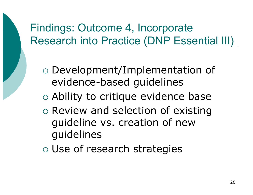#### Findings: Outcome 4, Incorporate Research into Practice (DNP Essential III)

- Development/Implementation of evidence-based guidelines
- Ability to critique evidence base
- o Review and selection of existing guideline vs. creation of new guidelines
- Use of research strategies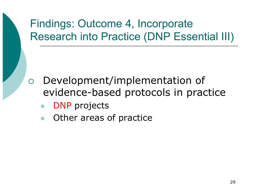### Findings: Outcome 4, Incorporate Research into Practice (DNP Essential III)

- Development/implementation of evidence-based protocols in practice
	- DNP projects
	- Other areas of practice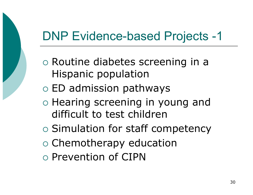## DNP Evidence-based Projects -1

- Routine diabetes screening in a Hispanic population
- ED admission pathways
- o Hearing screening in young and difficult to test children
- o Simulation for staff competency
- o Chemotherapy education
- Prevention of CIPN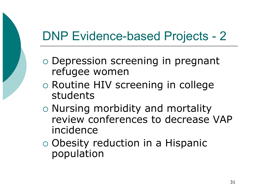## DNP Evidence-based Projects - 2

- Depression screening in pregnant refugee women
- Routine HIV screening in college students
- Nursing morbidity and mortality review conferences to decrease VAP incidence
- Obesity reduction in a Hispanic population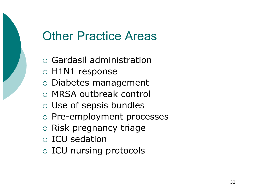#### Other Practice Areas

- Gardasil administration
- H1N1 response
- Diabetes management
- MRSA outbreak control
- Use of sepsis bundles
- o Pre-employment processes
- o Risk pregnancy triage
- ICU sedation
- ICU nursing protocols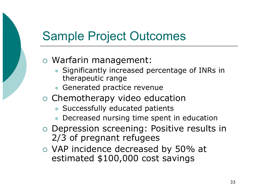### Sample Project Outcomes

#### Warfarin management:

- Significantly increased percentage of INRs in therapeutic range
- Generated practice revenue
- o Chemotherapy video education
	- Successfully educated patients
	- Decreased nursing time spent in education
- Depression screening: Positive results in 2/3 of pregnant refugees
- VAP incidence decreased by 50% at estimated \$100,000 cost savings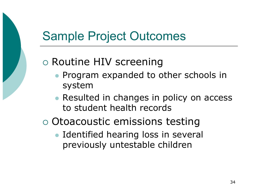### Sample Project Outcomes

#### Routine HIV screening

- **Program expanded to other schools in** system
- Resulted in changes in policy on access to student health records
- Otoacoustic emissions testing
	- Identified hearing loss in several previously untestable children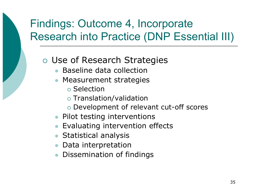### Findings: Outcome 4, Incorporate Research into Practice (DNP Essential III)

Use of Research Strategies

- Baseline data collection
- Measurement strategies
	- o Selection
	- Translation/validation
	- Development of relevant cut-off scores
- Pilot testing interventions
- Evaluating intervention effects
- **Statistical analysis**
- Data interpretation
- Dissemination of findings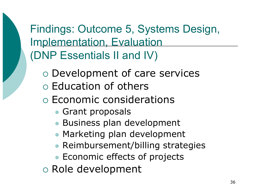Findings: Outcome 5, Systems Design, Implementation, Evaluation (DNP Essentials II and IV)

- Development of care services
- Education of others
- Economic considerations
	- **Grant proposals**
	- **Business plan development**
	- Marketing plan development
	- Reimbursement/billing strategies
	- Economic effects of projects

Role development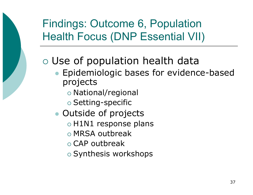### Findings: Outcome 6, Population Health Focus (DNP Essential VII)

#### Use of population health data

- **Epidemiologic bases for evidence-based** projects
	- National/regional
	- o Setting-specific
- Outside of projects
	- $\circ$  H1N1 response plans
	- MRSA outbreak
	- $\circ$  CAP outbreak
	- o Synthesis workshops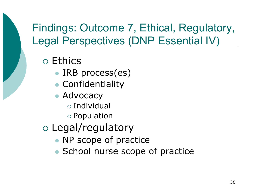#### Findings: Outcome 7, Ethical, Regulatory, Legal Perspectives (DNP Essential IV)

Ethics

- IRB process(es)
- Confidentiality
- Advocacy
	- Individual
	- Population
- Legal/regulatory
	- NP scope of practice
	- School nurse scope of practice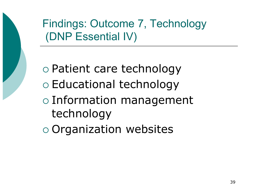Findings: Outcome 7, Technology (DNP Essential IV)

 Patient care technology Educational technology Information management technology

Organization websites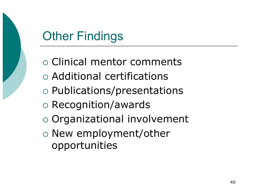# Other Findings

 Clinical mentor comments Additional certifications Publications/presentations Recognition/awards Organizational involvement New employment/other opportunities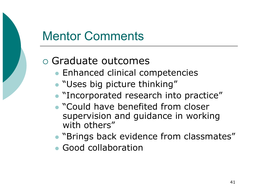## Mentor Comments

#### Graduate outcomes

- Enhanced clinical competencies
- "Uses big picture thinking"
- "Incorporated research into practice"
- "Could have benefited from closer supervision and guidance in working with others"
- **"Brings back evidence from classmates"**
- Good collaboration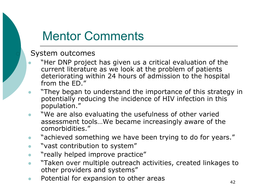## Mentor Comments

#### System outcomes

- "Her DNP project has given us a critical evaluation of the current literature as we look at the problem of patients deteriorating within 24 hours of admission to the hospital from the ED."
- "They began to understand the importance of this strategy in potentially reducing the incidence of HIV infection in this population."
- "We are also evaluating the usefulness of other varied assessment tools…We became increasingly aware of the comorbidities."
- "achieved something we have been trying to do for years."
- "vast contribution to system"
- **•** "really helped improve practice"
- "Taken over multiple outreach activities, created linkages to other providers and systems"
- Potential for expansion to other areas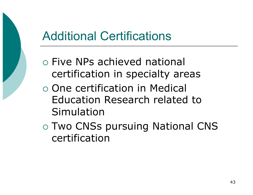## Additional Certifications

- Five NPs achieved national certification in specialty areas
- One certification in Medical Education Research related to Simulation
- Two CNSs pursuing National CNS certification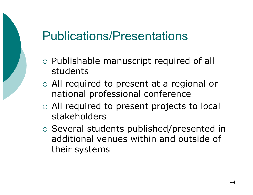## Publications/Presentations

- Publishable manuscript required of all students
- All required to present at a regional or national professional conference
- All required to present projects to local stakeholders
- Several students published/presented in additional venues within and outside of their systems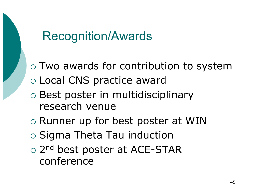### Recognition/Awards

 Two awards for contribution to system Local CNS practice award

- Best poster in multidisciplinary research venue
- o Runner up for best poster at WIN
- $\circ$  Sigma Theta Tau induction
- o 2<sup>nd</sup> best poster at ACE-STAR conference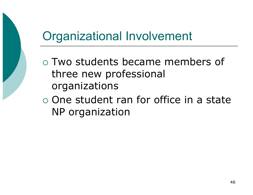## Organizational Involvement

- Two students became members of three new professional organizations
- One student ran for office in a state NP organization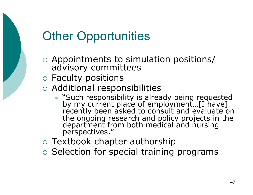## Other Opportunities

- Appointments to simulation positions/ advisory committees
- Faculty positions
- Additional responsibilities
	- "Such responsibility is already being requested by my current place of employment...[I have] recently been asked to consult and evaluate on the ongoing research and policy projects in the department from both medical and nursing perspectives."
- Textbook chapter authorship
- $\circ$  Selection for special training programs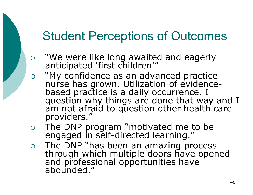## Student Perceptions of Outcomes

- "We were like long awaited and eagerly anticipated 'first children'"
- "My confidence as an advanced practice nurse has grown. Utilization of evidencebased practice is a daily occurrence. I question why things are done that way and I am not afraid to question other health care providers."
- The DNP program "motivated me to be engaged in self-directed learning."
- The DNP "has been an amazing process through which multiple doors have opened and professional opportunities have abounded."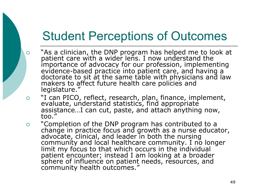## Student Perceptions of Outcomes

- "As a clinician, the DNP program has helped me to look at patient care with a wider lens. I now understand the importance of advocacy for our profession, implementing evidence-based practice into patient care, and having a doctorate to sit at the same table with physicians and law makers to affect future health care policies and legislature."
- o "I can PICO, reflect, research, plan, finance, implement, evaluate, understand statistics, find appropriate assistance…I can cut, paste, and attach anything now, too."
- "Completion of the DNP program has contributed to a change in practice focus and growth as a nurse educator, advocate, clinical, and leader in both the nursing community and local healthcare community. I no longer limit my focus to that which occurs in the individual patient encounter; instead I am looking at a broader sphere of influence on patient needs, resources, and community health outcomes."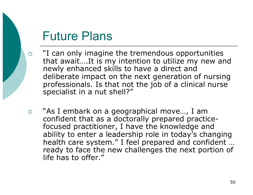#### Future Plans

- $\circ$  "I can only imagine the tremendous opportunities that await….It is my intention to utilize my new and newly enhanced skills to have a direct and deliberate impact on the next generation of nursing professionals. Is that not the job of a clinical nurse specialist in a nut shell?"
- "As I embark on a geographical move…, I am confident that as a doctorally prepared practicefocused practitioner, I have the knowledge and ability to enter a leadership role in today's changing health care system." I feel prepared and confident … ready to face the new challenges the next portion of life has to offer."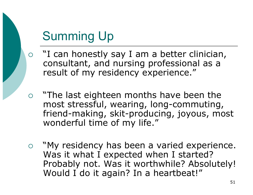## Summing Up

- o "I can honestly say I am a better clinician, consultant, and nursing professional as a result of my residency experience."
- "The last eighteen months have been the most stressful, wearing, long-commuting, friend-making, skit-producing, joyous, most wonderful time of my life."
- o "My residency has been a varied experience. Was it what I expected when I started? Probably not. Was it worthwhile? Absolutely! Would I do it again? In a heartbeat!"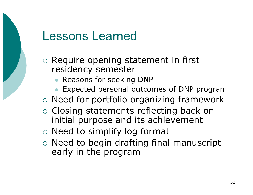#### Lessons Learned

- $\circ$  Require opening statement in first residency semester
	- Reasons for seeking DNP
	- Expected personal outcomes of DNP program
- o Need for portfolio organizing framework
- Closing statements reflecting back on initial purpose and its achievement
- Need to simplify log format
- $\circ$  Need to begin drafting final manuscript early in the program